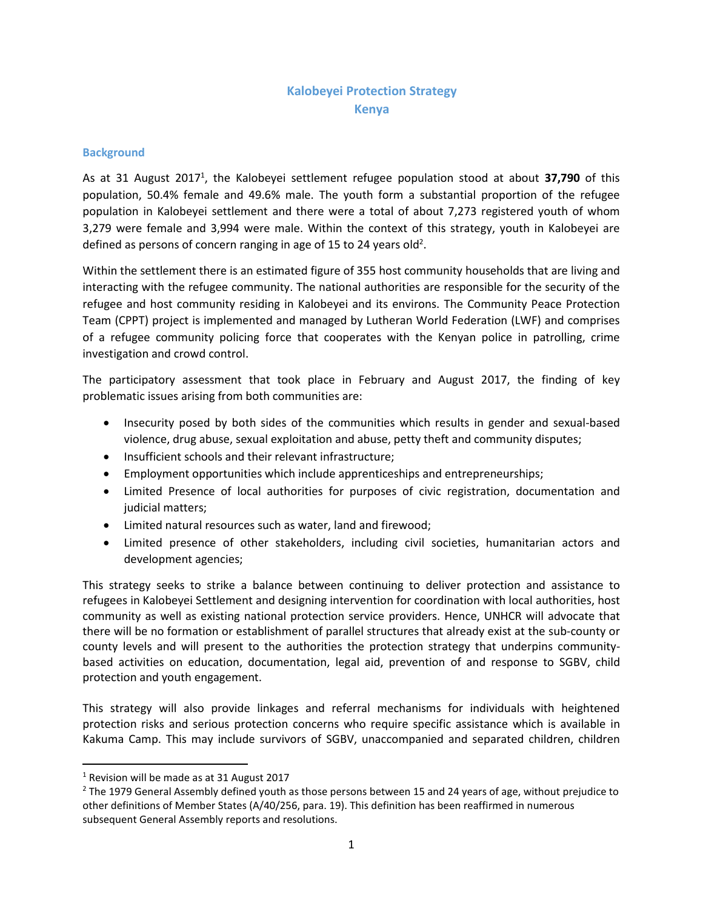# **Kalobeyei Protection Strategy Kenya**

### **Background**

As at 31 August 2017<sup>1</sup>, the Kalobeyei settlement refugee population stood at about 37,790 of this population, 50.4% female and 49.6% male. The youth form a substantial proportion of the refugee population in Kalobeyei settlement and there were a total of about 7,273 registered youth of whom 3,279 were female and 3,994 were male. Within the context of this strategy, youth in Kalobeyei are defined as persons of concern ranging in age of 15 to 24 years old<sup>2</sup>.

Within the settlement there is an estimated figure of 355 host community households that are living and interacting with the refugee community. The national authorities are responsible for the security of the refugee and host community residing in Kalobeyei and its environs. The Community Peace Protection Team (CPPT) project is implemented and managed by Lutheran World Federation (LWF) and comprises of a refugee community policing force that cooperates with the Kenyan police in patrolling, crime investigation and crowd control.

The participatory assessment that took place in February and August 2017, the finding of key problematic issues arising from both communities are:

- Insecurity posed by both sides of the communities which results in gender and sexual-based violence, drug abuse, sexual exploitation and abuse, petty theft and community disputes;
- Insufficient schools and their relevant infrastructure;
- Employment opportunities which include apprenticeships and entrepreneurships;
- Limited Presence of local authorities for purposes of civic registration, documentation and judicial matters;
- Limited natural resources such as water, land and firewood;
- Limited presence of other stakeholders, including civil societies, humanitarian actors and development agencies;

This strategy seeks to strike a balance between continuing to deliver protection and assistance to refugees in Kalobeyei Settlement and designing intervention for coordination with local authorities, host community as well as existing national protection service providers. Hence, UNHCR will advocate that there will be no formation or establishment of parallel structures that already exist at the sub-county or county levels and will present to the authorities the protection strategy that underpins communitybased activities on education, documentation, legal aid, prevention of and response to SGBV, child protection and youth engagement.

This strategy will also provide linkages and referral mechanisms for individuals with heightened protection risks and serious protection concerns who require specific assistance which is available in Kakuma Camp. This may include survivors of SGBV, unaccompanied and separated children, children

 $\overline{a}$ 

<sup>&</sup>lt;sup>1</sup> Revision will be made as at 31 August 2017

<sup>&</sup>lt;sup>2</sup> The 1979 General Assembly defined youth as those persons between 15 and 24 years of age, without prejudice to other definitions of Member States (A/40/256, para. 19). This definition has been reaffirmed in numerous subsequent General Assembly reports and resolutions.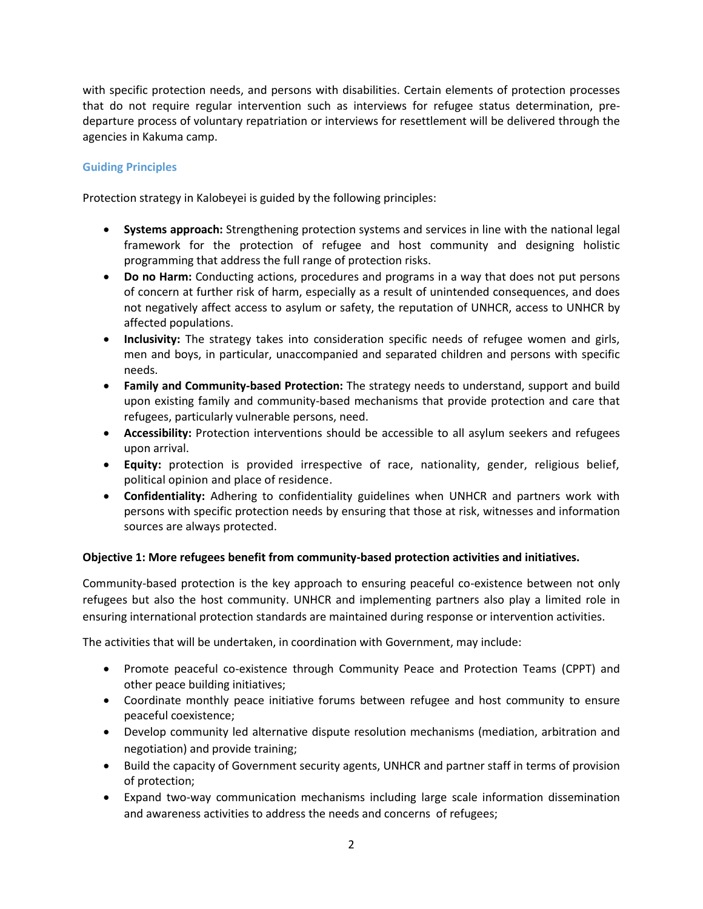with specific protection needs, and persons with disabilities. Certain elements of protection processes that do not require regular intervention such as interviews for refugee status determination, predeparture process of voluntary repatriation or interviews for resettlement will be delivered through the agencies in Kakuma camp.

## **Guiding Principles**

Protection strategy in Kalobeyei is guided by the following principles:

- **Systems approach:** Strengthening protection systems and services in line with the national legal framework for the protection of refugee and host community and designing holistic programming that address the full range of protection risks.
- **Do no Harm:** Conducting actions, procedures and programs in a way that does not put persons of concern at further risk of harm, especially as a result of unintended consequences, and does not negatively affect access to asylum or safety, the reputation of UNHCR, access to UNHCR by affected populations.
- **Inclusivity:** The strategy takes into consideration specific needs of refugee women and girls, men and boys, in particular, unaccompanied and separated children and persons with specific needs.
- **Family and Community-based Protection:** The strategy needs to understand, support and build upon existing family and community-based mechanisms that provide protection and care that refugees, particularly vulnerable persons, need.
- **Accessibility:** Protection interventions should be accessible to all asylum seekers and refugees upon arrival.
- **Equity:** protection is provided irrespective of race, nationality, gender, religious belief, political opinion and place of residence.
- **Confidentiality:** Adhering to confidentiality guidelines when UNHCR and partners work with persons with specific protection needs by ensuring that those at risk, witnesses and information sources are always protected.

### **Objective 1: More refugees benefit from community-based protection activities and initiatives.**

Community-based protection is the key approach to ensuring peaceful co-existence between not only refugees but also the host community. UNHCR and implementing partners also play a limited role in ensuring international protection standards are maintained during response or intervention activities.

The activities that will be undertaken, in coordination with Government, may include:

- Promote peaceful co-existence through Community Peace and Protection Teams (CPPT) and other peace building initiatives;
- Coordinate monthly peace initiative forums between refugee and host community to ensure peaceful coexistence;
- Develop community led alternative dispute resolution mechanisms (mediation, arbitration and negotiation) and provide training;
- Build the capacity of Government security agents, UNHCR and partner staff in terms of provision of protection;
- Expand two-way communication mechanisms including large scale information dissemination and awareness activities to address the needs and concerns of refugees;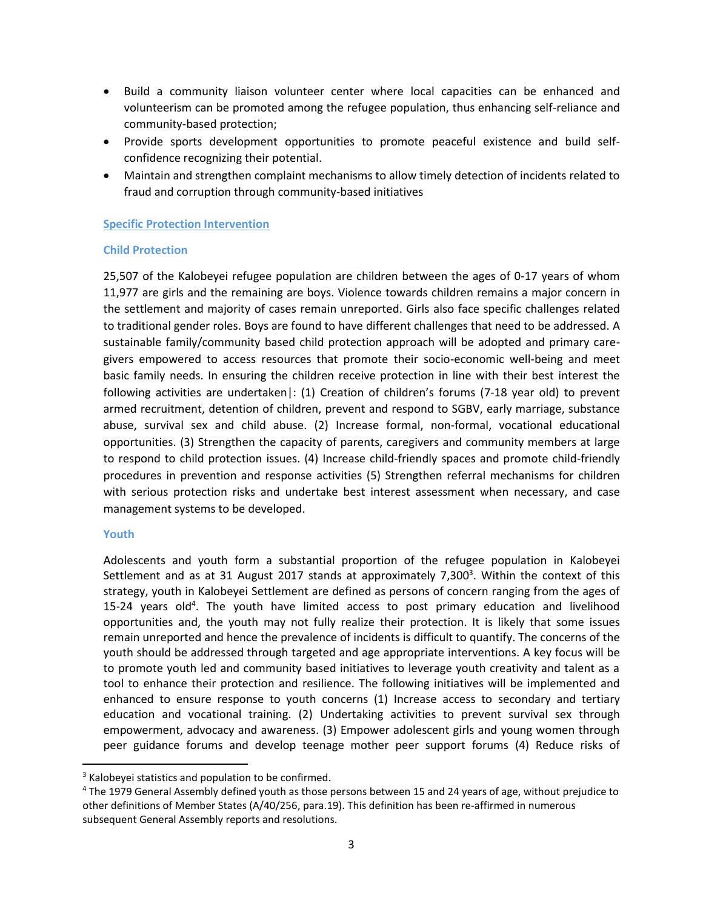- Build a community liaison volunteer center where local capacities can be enhanced and volunteerism can be promoted among the refugee population, thus enhancing self-reliance and community-based protection;
- Provide sports development opportunities to promote peaceful existence and build selfconfidence recognizing their potential.
- Maintain and strengthen complaint mechanisms to allow timely detection of incidents related to fraud and corruption through community-based initiatives

### **Specific Protection Intervention**

### **Child Protection**

25,507 of the Kalobeyei refugee population are children between the ages of 0-17 years of whom 11,977 are girls and the remaining are boys. Violence towards children remains a major concern in the settlement and majority of cases remain unreported. Girls also face specific challenges related to traditional gender roles. Boys are found to have different challenges that need to be addressed. A sustainable family/community based child protection approach will be adopted and primary caregivers empowered to access resources that promote their socio-economic well-being and meet basic family needs. In ensuring the children receive protection in line with their best interest the following activities are undertaken|: (1) Creation of children's forums (7-18 year old) to prevent armed recruitment, detention of children, prevent and respond to SGBV, early marriage, substance abuse, survival sex and child abuse. (2) Increase formal, non-formal, vocational educational opportunities. (3) Strengthen the capacity of parents, caregivers and community members at large to respond to child protection issues. (4) Increase child-friendly spaces and promote child-friendly procedures in prevention and response activities (5) Strengthen referral mechanisms for children with serious protection risks and undertake best interest assessment when necessary, and case management systems to be developed.

### **Youth**

 $\overline{a}$ 

Adolescents and youth form a substantial proportion of the refugee population in Kalobeyei Settlement and as at 31 August 2017 stands at approximately 7,300<sup>3</sup>. Within the context of this strategy, youth in Kalobeyei Settlement are defined as persons of concern ranging from the ages of 15-24 years old<sup>4</sup>. The youth have limited access to post primary education and livelihood opportunities and, the youth may not fully realize their protection. It is likely that some issues remain unreported and hence the prevalence of incidents is difficult to quantify. The concerns of the youth should be addressed through targeted and age appropriate interventions. A key focus will be to promote youth led and community based initiatives to leverage youth creativity and talent as a tool to enhance their protection and resilience. The following initiatives will be implemented and enhanced to ensure response to youth concerns (1) Increase access to secondary and tertiary education and vocational training. (2) Undertaking activities to prevent survival sex through empowerment, advocacy and awareness. (3) Empower adolescent girls and young women through peer guidance forums and develop teenage mother peer support forums (4) Reduce risks of

<sup>&</sup>lt;sup>3</sup> Kalobeyei statistics and population to be confirmed.

<sup>4</sup> The 1979 General Assembly defined youth as those persons between 15 and 24 years of age, without prejudice to other definitions of Member States (A/40/256, para.19). This definition has been re-affirmed in numerous subsequent General Assembly reports and resolutions.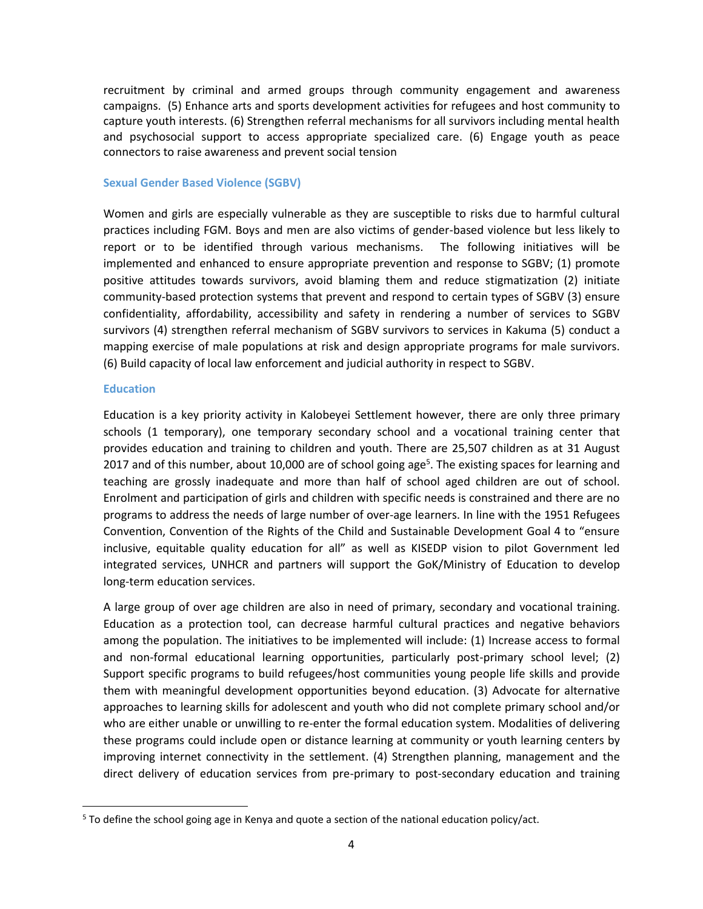recruitment by criminal and armed groups through community engagement and awareness campaigns. (5) Enhance arts and sports development activities for refugees and host community to capture youth interests. (6) Strengthen referral mechanisms for all survivors including mental health and psychosocial support to access appropriate specialized care. (6) Engage youth as peace connectors to raise awareness and prevent social tension

### **Sexual Gender Based Violence (SGBV)**

Women and girls are especially vulnerable as they are susceptible to risks due to harmful cultural practices including FGM. Boys and men are also victims of gender-based violence but less likely to report or to be identified through various mechanisms. The following initiatives will be implemented and enhanced to ensure appropriate prevention and response to SGBV; (1) promote positive attitudes towards survivors, avoid blaming them and reduce stigmatization (2) initiate community-based protection systems that prevent and respond to certain types of SGBV (3) ensure confidentiality, affordability, accessibility and safety in rendering a number of services to SGBV survivors (4) strengthen referral mechanism of SGBV survivors to services in Kakuma (5) conduct a mapping exercise of male populations at risk and design appropriate programs for male survivors. (6) Build capacity of local law enforcement and judicial authority in respect to SGBV.

#### **Education**

 $\overline{\phantom{a}}$ 

Education is a key priority activity in Kalobeyei Settlement however, there are only three primary schools (1 temporary), one temporary secondary school and a vocational training center that provides education and training to children and youth. There are 25,507 children as at 31 August 2017 and of this number, about 10,000 are of school going age<sup>5</sup>. The existing spaces for learning and teaching are grossly inadequate and more than half of school aged children are out of school. Enrolment and participation of girls and children with specific needs is constrained and there are no programs to address the needs of large number of over-age learners. In line with the 1951 Refugees Convention, Convention of the Rights of the Child and Sustainable Development Goal 4 to "ensure inclusive, equitable quality education for all" as well as KISEDP vision to pilot Government led integrated services, UNHCR and partners will support the GoK/Ministry of Education to develop long-term education services.

A large group of over age children are also in need of primary, secondary and vocational training. Education as a protection tool, can decrease harmful cultural practices and negative behaviors among the population. The initiatives to be implemented will include: (1) Increase access to formal and non-formal educational learning opportunities, particularly post-primary school level; (2) Support specific programs to build refugees/host communities young people life skills and provide them with meaningful development opportunities beyond education. (3) Advocate for alternative approaches to learning skills for adolescent and youth who did not complete primary school and/or who are either unable or unwilling to re-enter the formal education system. Modalities of delivering these programs could include open or distance learning at community or youth learning centers by improving internet connectivity in the settlement. (4) Strengthen planning, management and the direct delivery of education services from pre-primary to post-secondary education and training

 $5$  To define the school going age in Kenya and quote a section of the national education policy/act.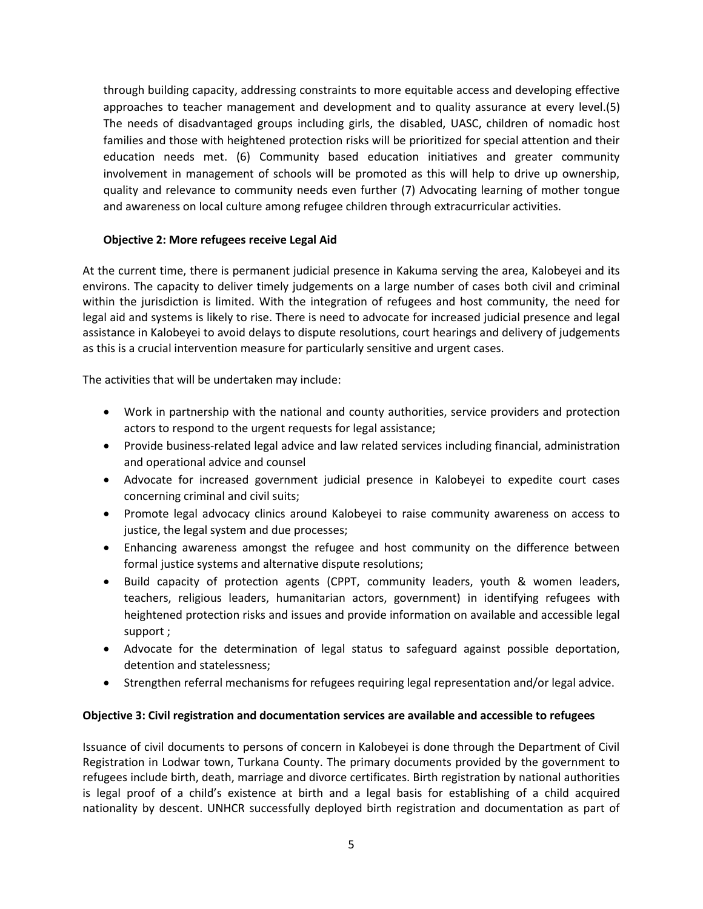through building capacity, addressing constraints to more equitable access and developing effective approaches to teacher management and development and to quality assurance at every level.(5) The needs of disadvantaged groups including girls, the disabled, UASC, children of nomadic host families and those with heightened protection risks will be prioritized for special attention and their education needs met. (6) Community based education initiatives and greater community involvement in management of schools will be promoted as this will help to drive up ownership, quality and relevance to community needs even further (7) Advocating learning of mother tongue and awareness on local culture among refugee children through extracurricular activities.

### **Objective 2: More refugees receive Legal Aid**

At the current time, there is permanent judicial presence in Kakuma serving the area, Kalobeyei and its environs. The capacity to deliver timely judgements on a large number of cases both civil and criminal within the jurisdiction is limited. With the integration of refugees and host community, the need for legal aid and systems is likely to rise. There is need to advocate for increased judicial presence and legal assistance in Kalobeyei to avoid delays to dispute resolutions, court hearings and delivery of judgements as this is a crucial intervention measure for particularly sensitive and urgent cases.

The activities that will be undertaken may include:

- Work in partnership with the national and county authorities, service providers and protection actors to respond to the urgent requests for legal assistance;
- Provide business-related legal advice and law related services including financial, administration and operational advice and counsel
- Advocate for increased government judicial presence in Kalobeyei to expedite court cases concerning criminal and civil suits;
- Promote legal advocacy clinics around Kalobeyei to raise community awareness on access to justice, the legal system and due processes;
- Enhancing awareness amongst the refugee and host community on the difference between formal justice systems and alternative dispute resolutions;
- Build capacity of protection agents (CPPT, community leaders, youth & women leaders, teachers, religious leaders, humanitarian actors, government) in identifying refugees with heightened protection risks and issues and provide information on available and accessible legal support ;
- Advocate for the determination of legal status to safeguard against possible deportation, detention and statelessness;
- Strengthen referral mechanisms for refugees requiring legal representation and/or legal advice.

### **Objective 3: Civil registration and documentation services are available and accessible to refugees**

Issuance of civil documents to persons of concern in Kalobeyei is done through the Department of Civil Registration in Lodwar town, Turkana County. The primary documents provided by the government to refugees include birth, death, marriage and divorce certificates. Birth registration by national authorities is legal proof of a child's existence at birth and a legal basis for establishing of a child acquired nationality by descent. UNHCR successfully deployed birth registration and documentation as part of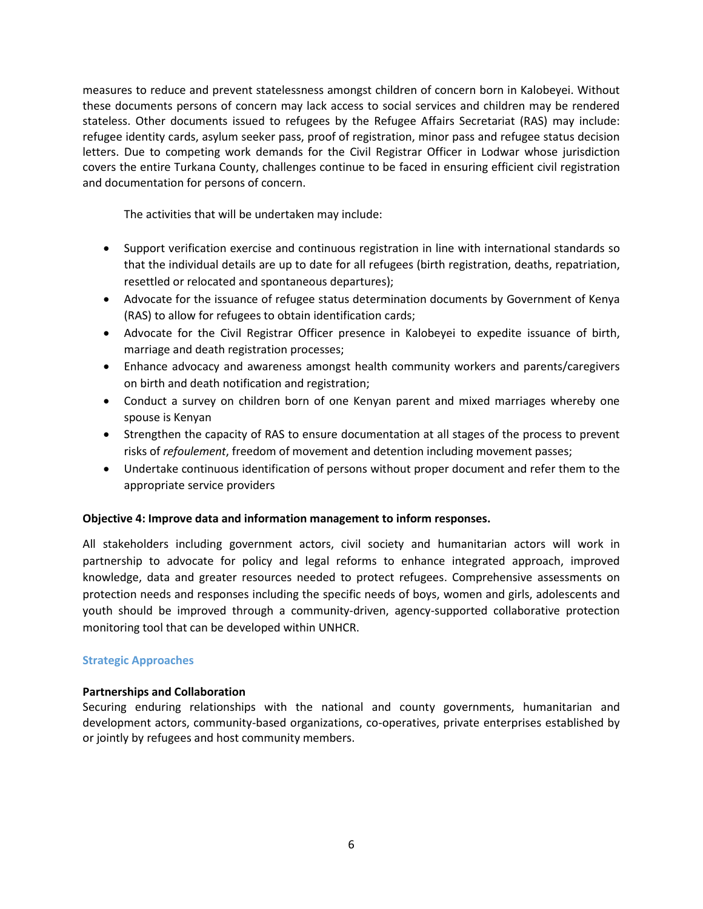measures to reduce and prevent statelessness amongst children of concern born in Kalobeyei. Without these documents persons of concern may lack access to social services and children may be rendered stateless. Other documents issued to refugees by the Refugee Affairs Secretariat (RAS) may include: refugee identity cards, asylum seeker pass, proof of registration, minor pass and refugee status decision letters. Due to competing work demands for the Civil Registrar Officer in Lodwar whose jurisdiction covers the entire Turkana County, challenges continue to be faced in ensuring efficient civil registration and documentation for persons of concern.

The activities that will be undertaken may include:

- Support verification exercise and continuous registration in line with international standards so that the individual details are up to date for all refugees (birth registration, deaths, repatriation, resettled or relocated and spontaneous departures);
- Advocate for the issuance of refugee status determination documents by Government of Kenya (RAS) to allow for refugees to obtain identification cards;
- Advocate for the Civil Registrar Officer presence in Kalobeyei to expedite issuance of birth, marriage and death registration processes;
- Enhance advocacy and awareness amongst health community workers and parents/caregivers on birth and death notification and registration;
- Conduct a survey on children born of one Kenyan parent and mixed marriages whereby one spouse is Kenyan
- Strengthen the capacity of RAS to ensure documentation at all stages of the process to prevent risks of *refoulement*, freedom of movement and detention including movement passes;
- Undertake continuous identification of persons without proper document and refer them to the appropriate service providers

### **Objective 4: Improve data and information management to inform responses.**

All stakeholders including government actors, civil society and humanitarian actors will work in partnership to advocate for policy and legal reforms to enhance integrated approach, improved knowledge, data and greater resources needed to protect refugees. Comprehensive assessments on protection needs and responses including the specific needs of boys, women and girls, adolescents and youth should be improved through a community-driven, agency-supported collaborative protection monitoring tool that can be developed within UNHCR.

### **Strategic Approaches**

### **Partnerships and Collaboration**

Securing enduring relationships with the national and county governments, humanitarian and development actors, community-based organizations, co-operatives, private enterprises established by or jointly by refugees and host community members.